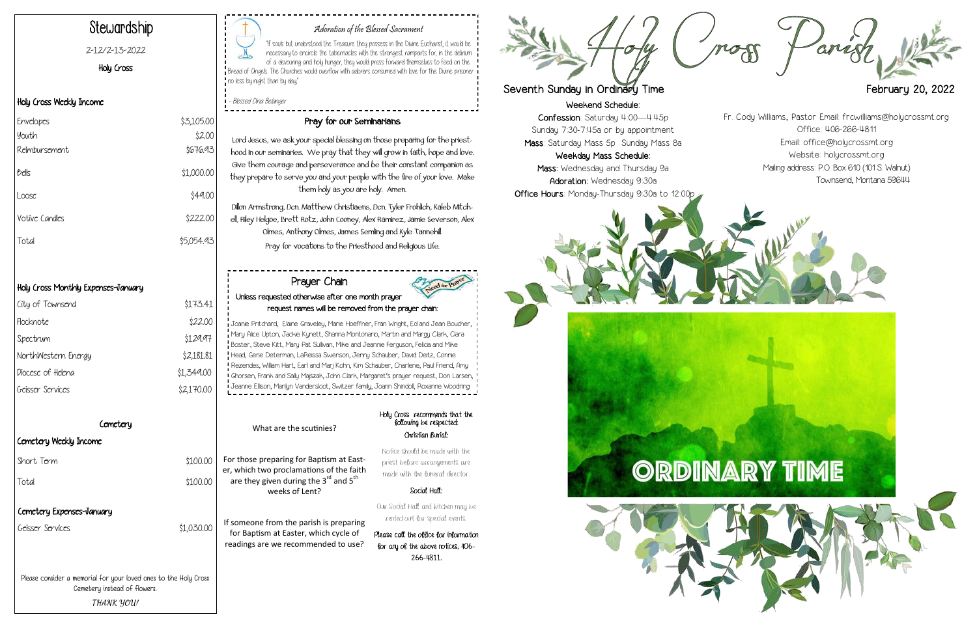Weekend Schedule:

Confession: Saturday 4:00—4:45p Sunday 7:30-7:45a or by appointment Mass: Saturday Mass 5p Sunday Mass 8a

Weekday Mass Schedule: Mass: Wednesday and Thursday 9a Adoration: Wednesday 9:30a Office Hours: Monday-Thursday 9:30a to 12:00p







# Adoration of the Blessed Sacrament

"If souls but understood the Treasure they possess in the Divine Eucharist, it would be necessary to encircle the tabernacles with the strongest ramparts for, in the delirium of a devouring and holy hunger, they would press forward themselves to feed on the  $\mathsf I$  Bread of Ongels. The Churches would overflow with adorers consumed with love for the Divine prisoner . no less by night than by day,"

- Blessed Dina Belanger

# Stewardship

### 2-12/2-13-2022

Holy Cross

## Holy Cross Weekly Income

| Envelopes      | \$3,105.00 |
|----------------|------------|
| youth          | \$2.00     |
| Reimbursement  | \$676.93   |
| bells          | \$1,000.00 |
| Loose          | \$49.00    |
| Votive Candles | \$222.00   |
| Total          | \$5,054.93 |

# Holy Cross Monthly Expenses-January

| City of Townsend    | \$173.41   |
|---------------------|------------|
| Flocknote           | \$22.00    |
| Spectrum            | \$129.97   |
| NorthWestern Energy | \$2,181.81 |
| Diocese of Heleng   | \$1,349.00 |
| Geisser Services    | \$2,170.00 |
|                     |            |

 $$1.030.00$ 

\$100.00

For those preparing for Baptism at Easter, which two proclamations of the faith are they given during the  $3^{rd}$  and  $5^{th}$ weeks of Lent?  $$100.00$ 

# Pray for our Seminarians

Lord Jesus, we ask your special blessing on those preparing for the priesthood in our seminaries. We pray that they will grow in faith, hope and love. Give them courage and perseverance and be their constant companion as they prepare to serve you and your people with the fire of your love. Make them holy as you are holy. Amen. Dillon Armstrong, Dcn. Matthew Christiaens, Dcn. Tyler Frohlich, Kaleb Mitchell, Riley Helgoe, Brett Rotz, John Cooney, Alex Ramirez, Jamie Severson, Alex Olmes, Anthony Olmes, James Semling and Kyle Tannehill.

Pray for vocations to the Priesthood and Religious Life.

| Comotory                  |  |  |
|---------------------------|--|--|
| Cemetery Weekly Income    |  |  |
| Short Term                |  |  |
| Total                     |  |  |
| Cemetery Expenses-January |  |  |
| <b>Geisser Services</b>   |  |  |

Please consider a memorial for your loved ones to the Holy Cross Cemetery instead of flowers. **THANK YOU!**

What are the scutinies?

If someone from the parish is preparing for Baptism at Easter, which cycle of readings are we recommended to use? Holy Cross recommends that the following be respected: Christian Burial:

Notice should be made with the priest before arrangements are made with the funeral director.

#### Social Hall:

Our Social Hall and kitchen may be rented out for special events.

Please call the office for information for any of the above notices, 406- 266-4811.



# Seventh Sunday in Ordinary Time **February 20, 2022**

Prayer Chain Unless requested otherwise after one month prayer request names will be removed from the prayer chain: Joanie Pritchard, Elaine Graveley, Marie Hoeffner, Fran Wright, Ed and Jean Boucher, Mary Alice Upton, Jackie Kynett, Shanna Montonario, Martin and Margy Clark, Clara Boster, Steve Kitt, Mary Pat Sullivan, Mike and Jeannie Ferguson, Felicia and Mike

Head, Gene Determan, LaReissa Swenson, Jenny Schauber, David Deitz, Connie Rezendes, William Hart, Earl and Marj Kohn, Kim Schauber, Charlene, Paul Friend, Amy Ghorsen, Frank and Sally Majszak, John Clark, Margaret's prayer request, Don Larsen, Jeanne Ellison, Marilyn Vandersloot, Switzer family, Joann Shindoll, Roxanne Woodring

Fr. Cody Williams, Pastor Email: frcwilliams@holycrossmt.org Office: 406-266-4811 Email: office@holycrossmt.org Website: holycrossmt.org Mailing address: P.O. Box 610 (101 S. Walnut) Townsend, Montana 59644